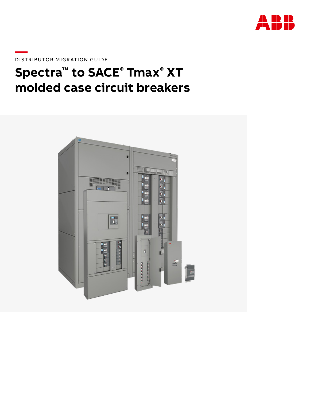

**—**DISTRIBUTOR MIGRATION GUIDE

# **Spectra™ to SACE® Tmax® XT molded case circuit breakers**

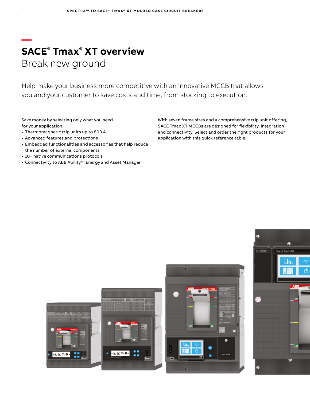### **— SACE® Tmax® XT overview** Break new ground

Help make your business more competitive with an innovative MCCB that allows you and your customer to save costs and time, from stocking to execution.

Save money by selecting only what you need for your application:

- Thermomagnetic trip units up to 800 A
- Advanced features and protections
- Embedded functionalities and accessories that help reduce the number of external components
- 10+ native communications protocols
- Connectivity to ABB Ability™ Energy and Asset Manager

With seven frame sizes and a comprehensive trip unit offering, SACE Tmax XT MCCBs are designed for flexibility, integration and connectivity. Select and order the right products for your application with this quick reference table.





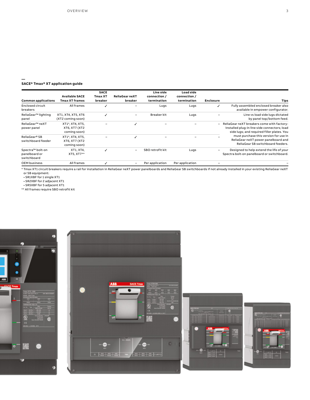#### **SACE® Tmax® XT application guide**

**—**

| Common applications                              | <b>Available SACE</b><br><b>Tmax XT frames</b>   | <b>SACE</b><br><b>Tmax XT</b><br>breaker | <b>ReliaGear neXT</b><br>breaker | Line side<br>connection /<br>termination | Load side<br>connection /<br>termination | <b>Enclosure</b>         | <b>Tips</b>                                                                                                                              |
|--------------------------------------------------|--------------------------------------------------|------------------------------------------|----------------------------------|------------------------------------------|------------------------------------------|--------------------------|------------------------------------------------------------------------------------------------------------------------------------------|
| Enclosed circuit<br>breakers                     | All frames                                       |                                          |                                  | Lugs                                     | Lugs                                     |                          | Fully assembled enclosed breaker also<br>available in empower configurator.                                                              |
| ReliaGear <sup>™</sup> lighting<br>panel         | XT1, XT4, XT5, XT6<br>(XT2 coming soon)          |                                          | $\qquad \qquad \blacksquare$     | Breaker kit                              | Lugs                                     |                          | Line vs load side lugs dictated<br>by panel top/bottom feed.                                                                             |
| ReliaGear™ neXT<br>power panel                   | XT1*, XT4, XT5,<br>XT6, XT7 (XT2<br>coming soon) |                                          |                                  |                                          |                                          | $\overline{\phantom{0}}$ | ReliaGear neXT breakers come with factory-<br>installed plug-in line side connectors; load<br>side lugs; and required filler plates. You |
| ReliaGear® SB<br>switchboard feeder              | XT1*, XT4, XT5,<br>XT6, XT7 (XT2<br>coming soon) |                                          |                                  |                                          |                                          |                          | must purchase this version for use in<br>ReliaGear neXT power panelboard and<br>ReliaGear SB switchboard feeders.                        |
| Spectra™ bolt-on<br>panelboard or<br>switchboard | XT1, XT4,<br>XT5, XT7**                          |                                          |                                  | SBO retrofit kit                         | Lugs                                     |                          | Designed to help extend the life of your<br>Spectra bolt-on panelboard or switchboard.                                                   |
| <b>OEM business</b>                              | All frames                                       |                                          |                                  | Per application                          | Per application                          |                          |                                                                                                                                          |

\* Tmax XT1 circuit breakers require a rail for installation in ReliaGear neXT power panelboards and ReliaGear SB switchboards if not already installed in your existing ReliaGear neXT

or SB equipment: • SR1XBF for 1 single XT1 • SR2XBF for 2 adjacent XT1

• SR5XBF for 5 adjacent XT1

\*\* All frames require SBO retrofit kit







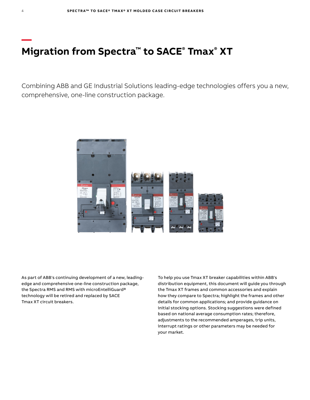## **Migration from Spectra™ to SACE® Tmax® XT**

**—**

Combining ABB and GE Industrial Solutions leading-edge technologies offers you a new, comprehensive, one-line construction package.



As part of ABB's continuing development of a new, leadingedge and comprehensive one-line construction package, the Spectra RMS and RMS with microEntelliGuard® technology will be retired and replaced by SACE Tmax XT circuit breakers.

To help you use Tmax XT breaker capabilities within ABB's distribution equipment, this document will guide you through the Tmax XT frames and common accessories and explain how they compare to Spectra; highlight the frames and other details for common applications; and provide guidance on initial stocking options. Stocking suggestions were defined based on national average consumption rates; therefore, adjustments to the recommended amperages, trip units, interrupt ratings or other parameters may be needed for your market.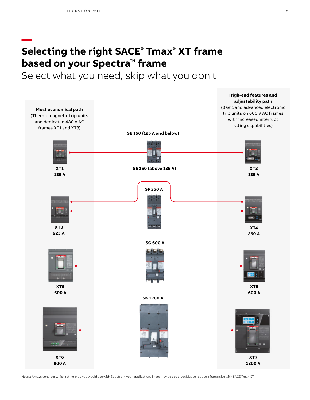**—**

## **Selecting the right SACE® Tmax® XT frame based on your Spectra™ frame**

Select what you need, skip what you don't



Notes: Always consider which rating plug you would use with Spectra in your application. There may be opportunities to reduce a frame size with SACE Tmax XT.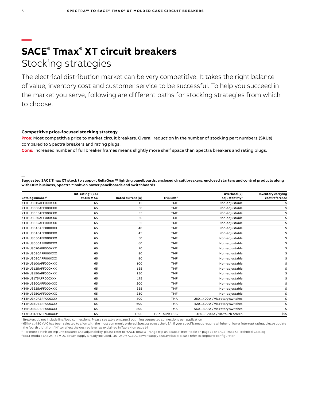### **— SACE® Tmax® XT circuit breakers** Stocking strategies

The electrical distribution market can be very competitive. It takes the right balance of value, inventory cost and customer service to be successful. To help you succeed in the market you serve, following are different paths for stocking strategies from which to choose.

#### **Competitive price-focused stocking strategy**

**Pros:** Most competitive price to market circuit breakers. Overall reduction in the number of stocking part numbers (SKUs) compared to Spectra breakers and rating plugs.

**Cons:** Increased number of full breaker frames means slightly more shelf space than Spectra breakers and rating plugs.

**Suggested SACE Tmax XT stock to support ReliaGear™ lighting panelboards, enclosed circuit breakers, enclosed starters and control products along with OEM business, Spectra™ bolt-on power panelboards and switchboards**

|                                 | Int. rating <sup>2</sup> ( $kA$ ) |                   |                        | Overload (L)                   | Inventory carrying |
|---------------------------------|-----------------------------------|-------------------|------------------------|--------------------------------|--------------------|
| Catalog number <sup>1</sup>     | at 480 V AC                       | Rated current (A) | Trip unit <sup>3</sup> | adjustability <sup>3</sup>     | cost reference     |
| XT1HU3015AFF000XXX              | 65                                | 15                | <b>TMF</b>             | Non-adjustable                 |                    |
| XT1HU3020AFF000XXX              | 65                                | 20                | <b>TMF</b>             | Non-adjustable                 |                    |
| XT1HU3025AFF000XXX              | 65                                | 25                | <b>TMF</b>             | Non-adjustable                 |                    |
| XT1HU3030AFF000XXX              | 65                                | 30                | <b>TMF</b>             | Non-adjustable                 |                    |
| XT1HU3035AFF000XXX              | 65                                | 35                | <b>TMF</b>             | Non-adjustable                 |                    |
| XT1HU3040AFF000XXX              | 65                                | 40                | <b>TMF</b>             | Non-adjustable                 |                    |
| XT1HU3045AFF000XXX              | 65                                | 45                | <b>TMF</b>             | Non-adjustable                 |                    |
| XT1HU3050AFF000XXX              | 65                                | 50                | <b>TMF</b>             | Non-adjustable                 |                    |
| XT1HU3060AFF000XXX              | 65                                | 60                | <b>TMF</b>             | Non-adjustable                 |                    |
| XT1HU3070AFF000XXX              | 65                                | 70                | <b>TMF</b>             | Non-adjustable                 |                    |
| XT1HU3080AFF000XXX              | 65                                | 80                | <b>TMF</b>             | Non-adjustable                 |                    |
| XT1HU3090AFF000XXX              | 65                                | 90                | <b>TMF</b>             | Non-adjustable                 |                    |
| XT1HU3100AFF000XXX              | 65                                | 100               | <b>TMF</b>             | Non-adjustable                 |                    |
| XT1HU3125AFF000XXX              | 65                                | 125               | <b>TMF</b>             | Non-adjustable                 |                    |
| XT4HU3150AFF000XXX              | 65                                | 150               | <b>TMF</b>             | Non-adjustable                 |                    |
| XT4HU3175AFF000XXX              | 65                                | 175               | <b>TMF</b>             | Non-adjustable                 |                    |
| XT4HU3200AFF000XXX              | 65                                | 200               | <b>TMF</b>             | Non-adjustable                 |                    |
| XT4HU3225AFF000XXX              | 65                                | 225               | <b>TMF</b>             | Non-adjustable                 |                    |
| XT4HU3250AFF000XXX              | 65                                | 250               | <b>TMF</b>             | Non-adjustable                 |                    |
| XT5HU340ABFF000XXX              | 65                                | 400               | <b>TMA</b>             | 280400 A / via rotary switches |                    |
| XT5HU360BBFF000XXX              | 65                                | 600               | <b>TMA</b>             | 420600 A / via rotary switches |                    |
| XT6HU3800BFF000XXX              | 65                                | 800               | <b>TMA</b>             | 560800 A / via rotary switches |                    |
| XT7HU312EQFF940XXX <sup>4</sup> | 65                                | 1200              | Ekip Touch LSIG        | 4801200 A / via touch screen   | \$\$\$             |

1 Breakers do not include line/load connections. Please see table on page 3 outlining suggested connections per application

<sup>2</sup> 65 kA at 480 V AC has been selected to align with the most commonly ordered Spectra across the USA. If your specific needs require a higher or lower interrupt rating, please update the fourth digit from "H" to reflect the desired level, as explained in Table 4 on page 14

<sup>3</sup> For more details on trip unit features and adjustability, please refer to "SACE Tmax XT range trip unit capabilities" table on page 12 or SACE Tmax XT Technical Catalog

4 RELT module and 24–48 V DC power supply already included. 110–240 V AC/DC power supply also available; please refer to empower configurator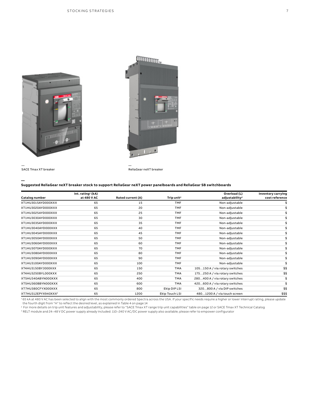



— SACE Tmax XT breaker

**—**

— ReliaGear neXT breaker

#### **Suggested ReliaGear neXT breaker stock to support ReliaGear neXT power panelboards and ReliaGear SB switchboards**

| Catalog number      | Int. rating <sup>1</sup> (kA)<br>at 480 V AC | Rated current (A) | Trip unit <sup>2</sup> | Overload (L)<br>adjustability <sup>2</sup> | Inventory carrying<br>cost reference |
|---------------------|----------------------------------------------|-------------------|------------------------|--------------------------------------------|--------------------------------------|
| XT1HU3015AYD000XXX  | 65                                           | 15                | <b>TMF</b>             | Non-adjustable                             |                                      |
| XT1HU3020AYD000XXX  | 65                                           | 20                | <b>TMF</b>             | Non-adjustable                             |                                      |
| XT1HU3025AYD000XXX  | 65                                           | 25                | <b>TMF</b>             | Non-adjustable                             |                                      |
| XT1HU3030AYD000XXX  | 65                                           | 30                | <b>TMF</b>             | Non-adjustable                             |                                      |
| XT1HU3035AYD000XXX  | 65                                           | 35                | <b>TMF</b>             | Non-adjustable                             |                                      |
| XT1HU3040AYD000XXX  | 65                                           | 40                | <b>TMF</b>             | Non-adjustable                             |                                      |
| XT1HU3045AYD000XXX  | 65                                           | 45                | <b>TMF</b>             | Non-adjustable                             |                                      |
| XT1HU3050AYD000XXX  | 65                                           | 50                | <b>TMF</b>             | Non-adjustable                             |                                      |
| XT1HU3060AYD000XXX  | 65                                           | 60                | <b>TMF</b>             | Non-adjustable                             |                                      |
| XT1HU3070AYD000XXX  | 65                                           | 70                | <b>TMF</b>             | Non-adjustable                             |                                      |
| XT1HU3080AYD000XXX  | 65                                           | 80                | <b>TMF</b>             | Non-adjustable                             |                                      |
| XT1HU3090AYD000XXX  | 65                                           | 90                | <b>TMF</b>             | Non-adjustable                             |                                      |
| XT1HU3100AYD000XXX  | 65                                           | 100               | <b>TMF</b>             | Non-adjustable                             |                                      |
| XT4HU3150BYJ000XXX  | 65                                           | 150               | <b>TMA</b>             | 105150 A / via rotary switches             | \$\$                                 |
| XT4HU3250BYL000XXX  | 65                                           | 250               | <b>TMA</b>             | 175250 A / via rotary switches             | \$\$                                 |
| XT5HU340ABYN000XXX  | 65                                           | 400               | <b>TMA</b>             | 280400 A / via rotary switches             |                                      |
| XT5HU360BBYN000XXX  | 65                                           | 600               | <b>TMA</b>             | 420600 A / via rotary switches             |                                      |
| XT7HU380CFYX000XXX  | 65                                           | 800               | Ekip DIP LSI           | 320800 A / via DIP switches                | \$\$                                 |
| XT7HU312EPYX940XXX3 | 65                                           | 1200              | Ekip Touch LSI         | 4801200 A / via touch screen               | \$\$\$                               |

<sup>1</sup>65 kA at 480 V AC has been selected to align with the most commonly ordered Spectra across the USA. If your specific needs require a higher or lower interrupt rating, please update<br>the fourth digit from "H" to reflect t

ª For more details on trip unit features and adjustability, please refer to "SACE Tmax XT range trip unit capabilities" table on page 12 or SACE Tmax XT Technical Catalog<br>ª RELT module and 24–48 V DC power supply already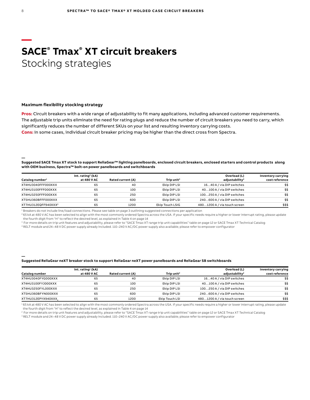### **— SACE® Tmax® XT circuit breakers** Stocking strategies

#### **Maximum flexibility stocking strategy**

**Pros:** Circuit breakers with a wide range of adjustability to fit many applications, including advanced customer requirements. The adjustable trip units eliminate the need for rating plugs and reduce the number of circuit breakers you need to carry, which significantly reduces the number of different SKUs on your list and resulting inventory carrying costs. **Cons:** In some cases, individual circuit breaker pricing may be higher than the direct cross from Spectra.

**Suggested SACE Tmax XT stock to support ReliaGear™ lighting panelboards, enclosed circuit breakers, enclosed starters and control products along with OEM business, Spectra™ bolt-on power panelboards and switchboards**

|                             | Int. rating <sup>2</sup> ( $kA$ ) |                   |                        | Overload (L)                 | Inventory carrying |
|-----------------------------|-----------------------------------|-------------------|------------------------|------------------------------|--------------------|
| Catalog number <sup>1</sup> | at 480 V AC                       | Rated current (A) | Trip unit <sup>3</sup> | adjustability <sup>3</sup>   | cost reference     |
| XT4HU3040FFF000XXX          | 65                                | 40                | Ekip DIP LSI           | 1640 A / via DIP switches    | \$\$               |
| XT4HU3100FFF000XXX          | 65                                | 100               | Ekip DIP LSI           | 40100 A / via DIP switches   | \$\$               |
| XT4HU3250FFF000XXX          | 65                                | 250               | Ekip DIP LSI           | 100250 A / via DIP switches  | \$\$               |
| XT5HU360BFFF000XXX          | 65                                | 600               | Ekip DIP LSI           | 240600 A / via DIP switches  | \$\$               |
| XT7HU312EQFF940XXX4         | 65                                | 1200              | <b>Ekip Touch LSIG</b> | 4801200 A / via touch screen | \$\$\$             |

<sup>1</sup> Breakers do not include line/load connections. Please see table on page 3 outlining suggested connections per application

<sup>2</sup> 65 kA at 480 V AC has been selected to align with the most commonly ordered Spectra across the USA. If your specific needs require a higher or lower interrupt rating, please update the fourth digit from "H" to reflect the desired level, as explained in Table 4 on page 14

<sup>3</sup> For more details on trip unit features and adjustability, please refer to "SACE Tmax XT range trip unit capabilities" table on page 12 or SACE Tmax XT Technical Catalog

4 RELT module and 24–48 V DC power supply already included. 110–240 V AC/DC power supply also available; please refer to empower configurator

#### **Suggested ReliaGear neXT breaker stock to support ReliaGear neXT power panelboards and ReliaGear SB switchboards**

|                    | $Int.$ rating <sup>1</sup> (kA) |                   |                        | Overload (L)                 | Inventory carrying |
|--------------------|---------------------------------|-------------------|------------------------|------------------------------|--------------------|
| Catalog number     | at 480 V AC                     | Rated current (A) | Trip unit <sup>2</sup> | adjustability <sup>2</sup>   | cost reference     |
| XT4HU3040FYG000XXX | 65                              | 40                | Ekip DIP LSI           | 1640 A / via DIP switches    | \$\$               |
| XT4HU3100FYJ000XXX | 65                              | 100               | Ekip DIP LSI           | 40100 A / via DIP switches   | \$\$               |
| XT4HU3250FYL000XXX | 65                              | 250               | Ekip DIP LSI           | 100250 A / via DIP switches  | \$\$               |
| XT5HU360BFYN000XXX | 65                              | 600               | Ekip DIP LSI           | 240600 A / via DIP switches  | \$\$               |
| XT7HU312EPYX940XXX | 65                              | 1200              | <b>Ekip Touch LSI</b>  | 4801200 A / via touch screen | \$\$\$             |

<sup>1</sup>65 kA at 480 V AC has been selected to align with the most commonly ordered Spectra across the USA. If your specific needs require a higher or lower interrupt rating, please update the fourth digit from "H" to reflect the desired level, as explained in Table 4 on page 14

2 For more details on trip unit features and adjustability, please refer to "SACE Tmax XT range trip unit capabilities" table on page 12 or SACE Tmax XT Technical Catalog

3 RELT module and 24–48 V DC power supply already included. 110–240 V AC/DC power supply also available; please refer to empower configurator

**—**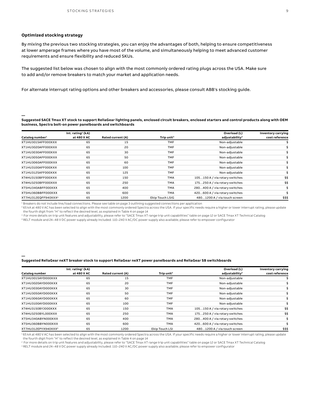#### **Optimized stocking strategy**

**—**

**—**

By mixing the previous two stocking strategies, you can enjoy the advantages of both, helping to ensure competitiveness at lower amperage frames where you have most of the volume, and simultaneously helping to meet advanced customer requirements and ensure flexibility and reduced SKUs.

The suggested list below was chosen to align with the most commonly ordered rating plugs across the USA. Make sure to add and/or remove breakers to match your market and application needs.

For alternate interrupt rating options and other breakers and accessories, please consult ABB's stocking guide.

**Suggested SACE Tmax XT stock to support ReliaGear lighting panels, enclosed circuit breakers, enclosed starters and control products along with OEM business, Spectra bolt-on power panelboards and switchboards**

|                                 | Int. rating <sup>2</sup> ( $kA$ ) |                   |                        | Overload (L)                   | Inventory carrying |
|---------------------------------|-----------------------------------|-------------------|------------------------|--------------------------------|--------------------|
| Catalog number <sup>1</sup>     | at 480 V AC                       | Rated current (A) | Trip unit <sup>3</sup> | adjustability <sup>3</sup>     | cost reference     |
| XT1HU3015AFF000XXX              | 65                                | 15                | <b>TMF</b>             | Non-adjustable                 |                    |
| XT1HU3020AFF000XXX              | 65                                | 20                | <b>TMF</b>             | Non-adjustable                 |                    |
| XT1HU3030AFF000XXX              | 65                                | 30                | <b>TMF</b>             | Non-adjustable                 |                    |
| XT1HU3050AFF000XXX              | 65                                | 50                | <b>TMF</b>             | Non-adjustable                 |                    |
| XT1HU3060AFF000XXX              | 65                                | 60                | <b>TMF</b>             | Non-adjustable                 |                    |
| XT1HU3100AFF000XXX              | 65                                | 100               | <b>TMF</b>             | Non-adjustable                 |                    |
| XT1HU3125AFF000XXX              | 65                                | 125               | <b>TMF</b>             | Non-adjustable                 |                    |
| XT4HU3150BFF000XXX              | 65                                | 150               | <b>TMA</b>             | 105150 A / via rotary switches | \$\$               |
| XT4HU3250BFF000XXX              | 65                                | 250               | <b>TMA</b>             | 175250 A / via rotary switches | \$\$               |
| XT5HU340ABFF000XXX              | 65                                | 400               | <b>TMA</b>             | 280400 A / via rotary switches |                    |
| XT5HU360BBFF000XXX              | 65                                | 600               | <b>TMA</b>             | 420600 A / via rotary switches |                    |
| XT7HU312EQFF940XXX <sup>4</sup> | 65                                | 1200              | Ekip Touch LSIG        | 4801200 A / via touch screen   | \$\$\$             |

<sup>1</sup> Breakers do not include line/load connections. Please see table on page 3 outlining suggested connections per application

<sup>2</sup> 65 kA at 480 V AC has been selected to align with the most commonly ordered Spectra across the USA. If your specific needs require a higher or lower interrupt rating, please update the fourth digit from "H" to reflect the desired level, as explained in Table 4 on page 14

<sup>3</sup> For more details on trip unit features and adjustability, please refer to "SACE Tmax XT range trip unit capabilities" table on page 12 or SACE Tmax XT Technical Catalog

4 RELT module and 24–48 V DC power supply already included. 110–240 V AC/DC power supply also available; please refer to empower configurator

#### **Suggested ReliaGear neXT breaker stock to support ReliaGear neXT power panelboards and ReliaGear SB switchboards**

|                                 | Int. rating <sup>1</sup> ( $kA$ ) |                   |                        | Overload (L)                   | Inventory carrying |
|---------------------------------|-----------------------------------|-------------------|------------------------|--------------------------------|--------------------|
| Catalog number                  | at 480 V AC                       | Rated current (A) | Trip unit <sup>2</sup> | adjustability <sup>2</sup>     | cost reference     |
| XT1HU3015AYD000XXX              | 65                                | 15                | TMF                    | Non-adjustable                 |                    |
| XT1HU3020AYD000XXX              | 65                                | 20                | TMF                    | Non-adjustable                 |                    |
| XT1HU3030AYD000XXX              | 65                                | 30                | <b>TMF</b>             | Non-adjustable                 |                    |
| XT1HU3050AYD000XXX              | 65                                | 50                | <b>TMF</b>             | Non-adjustable                 |                    |
| XT1HU3060AYD000XXX              | 65                                | 60                | TMF                    | Non-adjustable                 |                    |
| XT1HU3100AYD000XXX              | 65                                | 100               | <b>TMF</b>             | Non-adjustable                 |                    |
| XT4HU3150BYJ000XXX              | 65                                | 150               | TMA                    | 105150 A / via rotary switches | \$\$               |
| XT4HU3250BYL000XXX              | 65                                | 250               | <b>TMA</b>             | 175250 A / via rotary switches | \$\$               |
| XT5HU340ABYN000XXX              | 65                                | 400               | TMA                    | 280400 A / via rotary switches |                    |
| XT5HU360BBYN000XXX              | 65                                | 600               | TMA                    | 420600 A / via rotary switches |                    |
| XT7HU312EPYX940XXX <sup>4</sup> | 65                                | 1200              | Ekip Touch LSI         | 4801200 A / via touch screen   | \$\$\$             |

165 kA at 480 V AC has been selected to align with the most commonly ordered Spectra across the USA. If your specific needs require a higher or lower interrupt rating, please update the fourth digit from "H" to reflect the desired level, as explained in Table 4 on page 14

<sup>2</sup> For more details on trip unit features and adjustability, please refer to "SACE Tmax XT range trip unit capabilities" table on page 12 or SACE Tmax XT Technical Catalog

3 RELT module and 24–48 V DC power supply already included. 110–240 V AC/DC power supply also available; please refer to empower configurator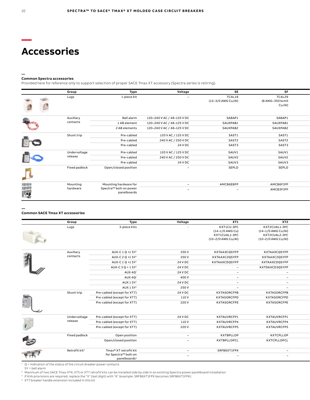### **Accessories**

#### **— Common Spectra accessories**

Provided here for reference only to support selection of proper SACE Tmax XT accessory (Spectra series is retiring).

| 1-piece kit<br>TCAL18<br>TCAL29<br>Lugs<br>$\overline{\phantom{0}}$<br>(12-3/0 AWG Cu/Al)<br>(8 AWG-350 kcmil<br>Cu/Al)<br>Auxiliary<br>SABAP1<br>SABAP1<br>Bell alarm<br>120-240 V AC / 48-125 V DC<br>contacts<br>SAUXPAB1<br>1 AB element<br>120-240 V AC / 48-125 V DC<br>SAUXPAB1<br>2 AB elements<br>120-240 V AC / 48-125 V DC<br>SAUXPAB2<br>SAUXPAB2<br>Shunt trip<br>SAST1<br>SAST1<br>Pre-cabled<br>120 V AC / 125 V DC<br>E<br>Pre-cabled<br>240 V AC / 250 V DC<br>SAST2<br>SAST2<br>24 V DC<br>SAST3<br>SAST3<br>Pre-cabled<br>SAUV1<br>Undervoltage<br>120 V AC / 125 V DC<br>SAUV1<br>Pre-cabled<br>release<br>SAUV2<br>SAUV2<br>Pre-cabled<br>240 V AC / 250 V DC<br>24 V DC<br>Pre-cabled<br>SAUV3<br>SAUV3<br>Fixed padlock<br>Open/closed position<br>SEPLD<br>SEPLD<br>$\overline{\phantom{0}}$<br>al.<br>Mounting hardware for<br>AMCB6EBFP<br>AMCB6FJFP<br>Mounting<br>.<br> -3<br>$\overline{\phantom{0}}$<br>Spectra™ bolt-on power<br>hardware<br>AMCB3FJFP<br>$\overline{\phantom{a}}$<br>$\overline{\phantom{a}}$<br>panelboards | Group | Type | Voltage | <b>SE</b> | <b>SF</b> |  |
|--------------------------------------------------------------------------------------------------------------------------------------------------------------------------------------------------------------------------------------------------------------------------------------------------------------------------------------------------------------------------------------------------------------------------------------------------------------------------------------------------------------------------------------------------------------------------------------------------------------------------------------------------------------------------------------------------------------------------------------------------------------------------------------------------------------------------------------------------------------------------------------------------------------------------------------------------------------------------------------------------------------------------------------------------------------|-------|------|---------|-----------|-----------|--|
|                                                                                                                                                                                                                                                                                                                                                                                                                                                                                                                                                                                                                                                                                                                                                                                                                                                                                                                                                                                                                                                              |       |      |         |           |           |  |
|                                                                                                                                                                                                                                                                                                                                                                                                                                                                                                                                                                                                                                                                                                                                                                                                                                                                                                                                                                                                                                                              |       |      |         |           |           |  |
|                                                                                                                                                                                                                                                                                                                                                                                                                                                                                                                                                                                                                                                                                                                                                                                                                                                                                                                                                                                                                                                              |       |      |         |           |           |  |
|                                                                                                                                                                                                                                                                                                                                                                                                                                                                                                                                                                                                                                                                                                                                                                                                                                                                                                                                                                                                                                                              |       |      |         |           |           |  |
|                                                                                                                                                                                                                                                                                                                                                                                                                                                                                                                                                                                                                                                                                                                                                                                                                                                                                                                                                                                                                                                              |       |      |         |           |           |  |
|                                                                                                                                                                                                                                                                                                                                                                                                                                                                                                                                                                                                                                                                                                                                                                                                                                                                                                                                                                                                                                                              |       |      |         |           |           |  |
|                                                                                                                                                                                                                                                                                                                                                                                                                                                                                                                                                                                                                                                                                                                                                                                                                                                                                                                                                                                                                                                              |       |      |         |           |           |  |
|                                                                                                                                                                                                                                                                                                                                                                                                                                                                                                                                                                                                                                                                                                                                                                                                                                                                                                                                                                                                                                                              |       |      |         |           |           |  |
|                                                                                                                                                                                                                                                                                                                                                                                                                                                                                                                                                                                                                                                                                                                                                                                                                                                                                                                                                                                                                                                              |       |      |         |           |           |  |
|                                                                                                                                                                                                                                                                                                                                                                                                                                                                                                                                                                                                                                                                                                                                                                                                                                                                                                                                                                                                                                                              |       |      |         |           |           |  |
|                                                                                                                                                                                                                                                                                                                                                                                                                                                                                                                                                                                                                                                                                                                                                                                                                                                                                                                                                                                                                                                              |       |      |         |           |           |  |
|                                                                                                                                                                                                                                                                                                                                                                                                                                                                                                                                                                                                                                                                                                                                                                                                                                                                                                                                                                                                                                                              |       |      |         |           |           |  |
|                                                                                                                                                                                                                                                                                                                                                                                                                                                                                                                                                                                                                                                                                                                                                                                                                                                                                                                                                                                                                                                              |       |      |         |           |           |  |

#### **Common SACE Tmax XT accessories**

**—**

|                       | Group                     | Type                                             | Voltage                  | XT1                      | XT2                      |
|-----------------------|---------------------------|--------------------------------------------------|--------------------------|--------------------------|--------------------------|
|                       | Lugs                      | 3-piece kits                                     |                          | KXT1CU-3PC               | KXT2CUAL1-3PC            |
|                       |                           |                                                  |                          | (14-1/0 AWG Cu)          | (14-1/0 AWG Cu/Al)       |
|                       |                           |                                                  |                          | KXT1CUAL1-3PC            | KXT2CUAL2-3PC            |
|                       |                           |                                                  |                          | (10-2/0 AWG Cu/Al)       | (10-2/0 AWG Cu/Al)       |
|                       |                           |                                                  |                          |                          |                          |
|                       | Auxiliary                 | AUX-C 1 Q +1 SY <sup>1</sup>                     | 250 V                    | KXTAAXCQSYFP             | KXTAAXCQSYFP             |
| 有                     | contacts                  | AUX-C 2 Q +1 SY <sup>1</sup>                     | 250 V                    | KXTAAXC2QSYFP            | KXTAAXC2QSYFP            |
|                       |                           | AUX-C 1 Q +1 SY <sup>1</sup>                     | 24 V DC                  | KXTAAXCDQSYFP            | KXTAAXCDQSYFP            |
|                       |                           | AUX-C $3Q + 1SY1$                                | 24 V DC                  | $\sim$                   | KXTDAXCD3QSYFP           |
|                       |                           | AUX 4Q <sup>1</sup>                              | 24 V DC                  | $\sim$                   | $\sim$                   |
|                       |                           | AUX 4Q <sup>1</sup>                              | 400 V                    | $\sim$                   | $\overline{\phantom{a}}$ |
|                       |                           | AUX 1 SY <sup>1</sup>                            | 24 V DC                  | $\overline{\phantom{0}}$ | $\overline{\phantom{0}}$ |
|                       |                           | AUX 1 SY <sup>1</sup>                            | 250 V                    | $\overline{\phantom{0}}$ | $\overline{\phantom{a}}$ |
|                       | Shunt trip                | Pre-cabled (except for XT7)                      | 24 V DC                  | <b>KXTASORCFPB</b>       | <b>KXTASORCFPB</b>       |
|                       |                           | Pre-cabled (except for XT7)                      | 110 V                    | KXTASORCFPD              | KXTASORCFPD              |
| HE.                   |                           | Pre-cabled (except for XT7)                      | 220 V                    | <b>KXTASORCFPE</b>       | <b>KXTASORCFPE</b>       |
| w                     |                           |                                                  |                          |                          |                          |
|                       |                           |                                                  |                          |                          |                          |
|                       | Undervoltage              | Pre-cabled (except for XT7)                      | 24 V DC                  | KXTAUVRCFP1              | KXTAUVRCFP1              |
|                       | release                   | Pre-cabled (except for XT7)                      | 110V                     | KXTAUVRCFP4              | KXTAUVRCFP4              |
| $\mathbf{C}$          |                           | Pre-cabled (except for XT7)                      | 220 V                    | KXTAUVRCFP5              | KXTAUVRCFP5              |
|                       |                           |                                                  |                          |                          |                          |
|                       | Fixed padlock             | Open position                                    | $\sim$                   | <b>KXTBPLLOP</b>         | KXTCPLLOP                |
| <b>R</b> <sub>O</sub> |                           | Open/closed position                             | $\sim$                   | KXTBPLLOPCL              | KXTCPLLOPCL              |
|                       |                           |                                                  |                          |                          |                          |
|                       | Retrofit kit <sup>2</sup> | Tmax® XT retrofit kit                            | $\sim$                   | SRFB6XT1FPX              | $\sim$                   |
| 市                     |                           | for Spectra™ bolt-on<br>panelboards <sup>3</sup> | $\overline{\phantom{0}}$ | $\overline{\phantom{a}}$ | $\overline{\phantom{0}}$ |

 $1 \quad Q =$  indication of the status of the circuit-breaker power contacts  $SY =$  bell alarm

 $^{\rm 2} \,$  Maximum of two SACE Tmax XT4, XT5 or XT7 retrofit kits can be installed side by side in an existing Spectra power panelboard installation

<sup>3</sup> If Kirk provisions are required, replace the "X" (last digit) with "K" (example: SRFB6XT1FPX becomes SRFB6XT1FPK)

<sup>4</sup> XT7 breaker handle extension included in this kit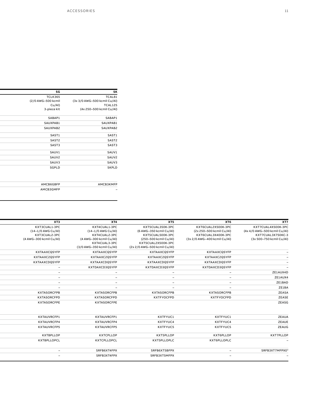| SK                           | SG                 |
|------------------------------|--------------------|
| TCAL81                       | TCLK365            |
| (3x 3/0 AWG-500 kcmil Cu/Al) | (2/0 AWG-500 kcmil |
| TCAL125                      | Cu/Al)             |
| (4x 250-500 kcmil Cu/Al)     | 3-piece kit        |
| SABAP1                       | SABAP1             |
| SAUXPAB1                     | SAUXPAB1           |
| SAUXPAB2                     | SAUXPAB2           |
| SAST1                        | SAST1              |
| SAST2                        | SAST2              |
| SAST3                        | SAST3              |
| SAUV1                        | SAUV1              |
| SAUV2                        | SAUV2              |
| SAUV3                        | SAUV3              |
| <b>SKPLD</b>                 | SGPLD              |
|                              |                    |
| <b>АМСВЗКМFР</b>             | AMCB6GBFP          |
| $\overline{\phantom{a}}$     | AMCB3GMFP          |

| XT7                          | XT6                          | XT5                          | XT4                       | XT3                      |
|------------------------------|------------------------------|------------------------------|---------------------------|--------------------------|
| KXT7CUAL4X500K-3PC           | KXT6CUAL2X500K-3PC           | KXT5CUAL350K-3PC             | KXT4CUAL1-3PC             | KXT3CUAL1-3PC            |
| (4x 4/0 AWG-500 kcmil Cu/Al) | (2x 250-500 kcmil Cu/Al)     | (6 AWG-350 kcmil Cu/Al)      | (14-1/0 AWG Cu/Al)        | (14-1/0 AWG Cu/Al)       |
| KXT7CUAL3X750KC-3            | KXT6CUAL3X400K-3PC           | KXT5CUAL500K-3PC             | KXT4CUAL2-3PC             | KXT3CUAL2-3PC            |
| (3x 500-750 kcmil Cu/Al)     | (3x 2/0 AWG-400 kcmil Cu/Al) | (250-500 kcmil Cu/Al)        | (4 AWG-300 kcmil Cu/Al)   | (4 AWG-300 kcmil Cu/Al)  |
|                              |                              | KXT5CUAL2X500K-3PC           | KXT4CUAL3-3PC             |                          |
|                              |                              | (2x 2/0 AWG-500 kcmil Cu/Al) | (3/0 AWG-350 kcmil Cu/Al) |                          |
|                              | KXTAAXCQSYFP                 | KXTAAXCQSYFP                 | KXTAAXCQSYFP              | KXTAAXCQSYFP             |
|                              | KXTAAXC2QSYFP                | KXTAAXC2QSYFP                | KXTAAXC2QSYFP             | KXTAAXC2QSYFP            |
|                              | KXTAAXCDQSYFP                | KXTAAXCDQSYFP                | KXTAAXCDQSYFP             | KXTAAXCDQSYFP            |
|                              | KXTDAXCD3QSYFP               | KXTDAXCD3QSYFP               | KXTDAXCD3QSYFP            | $\sim$                   |
| ZE1AUX4D                     | $\overline{\phantom{0}}$     | $\sim$                       | $\sim$                    | $\sim$                   |
| ZE1AUX4                      | $\overline{\phantom{0}}$     | $\sim$                       | $\sim$                    | $\sim$                   |
| ZE1BAD                       | $\sim$                       | $\sim$                       | $\sim$                    | $\sim$                   |
| ZE1BA                        | $\overline{\phantom{0}}$     | $\overline{\phantom{0}}$     | $\overline{\phantom{0}}$  | $\overline{\phantom{0}}$ |
| <b>ZEASA</b>                 | <b>KXTASORCFPB</b>           | <b>KXTASORCFPB</b>           | <b>KXTASORCFPB</b>        | <b>KXTASORCFPB</b>       |
| <b>ZEASE</b>                 | KXTFYOCFPD                   | KXTFYOCFPD                   | KXTASORCFPD               | <b>KXTASORCFPD</b>       |
| ZEASG                        |                              |                              | <b>KXTASORCFPE</b>        | <b>KXTASORCFPE</b>       |
| ZEAUA                        | KXTFYUC1                     | KXTFYUC1                     | KXTAUVRCFP1               | KXTAUVRCFP1              |
| ZEAUE                        | KXTFYUC4                     | KXTFYUC4                     | KXTAUVRCFP4               | KXTAUVRCFP4              |
| ZEAUG                        | KXTFYUC5                     | KXTFYUC5                     | <b>KXTAUVRCFP5</b>        | <b>KXTAUVRCFP5</b>       |
| KXT7PLLOP                    | KXT6PLLOP                    | KXT5PLLOP                    | <b>KXTCPLLOP</b>          | <b>KXTBPLLOP</b>         |
|                              | KXT6PLLOPLC                  | KXT5PLLOPLC                  | <b>KXTCPLLOPCL</b>        | <b>KXTBPLLOPCL</b>       |
| SRFB3XT7MFPX0                | $\sim$                       | SRFB6XT5BFPX                 | SRFB6XT4FPX               | $\sim$                   |
|                              | $\sim$                       | SRFB3XT5MFPX                 | SRFB3XT4FPX               | $\overline{\phantom{0}}$ |
|                              |                              |                              |                           |                          |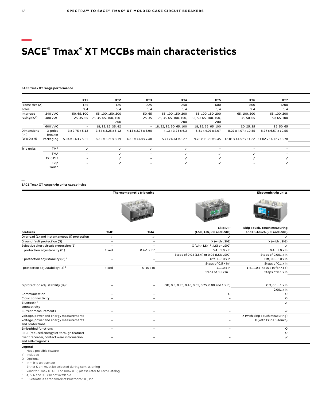### **— SACE® Tmax® XT MCCBs main characteristics**

### **— SACE Tmax XT range performance**

|                         |          | XT1                          | XT2                             | XT3                                                           | <b>XT4</b>                     | XT5                   | XT6                                                             | XT7                      |  |
|-------------------------|----------|------------------------------|---------------------------------|---------------------------------------------------------------|--------------------------------|-----------------------|-----------------------------------------------------------------|--------------------------|--|
| Frame size (A)          |          | 125                          | 125                             | 225                                                           | 250                            | 600                   | 800                                                             | 1200                     |  |
| Poles                   |          | 3,4                          | 3.4                             | 3, 4                                                          | 3, 4                           | 3, 4                  | 3, 4                                                            | 3, 4                     |  |
| Interrupt               | 240 V AC | 50, 65, 100                  | 65, 100, 150, 200               | 50, 65                                                        | 65, 100, 150, 200              | 65, 100, 150, 200     | 65, 100, 200                                                    | 65, 100, 200             |  |
| rating (kA)             | 480 V AC |                              | 25, 35, 65 25, 35, 65, 100, 150 | 25, 35                                                        | 25, 35, 65, 100, 150,          | 35, 50, 65, 100, 150, | 35, 50, 65                                                      | 50, 65, 100              |  |
|                         |          |                              | 200                             |                                                               | 200                            | 200                   |                                                                 |                          |  |
|                         | 600 V AC | $\sim$                       | 18, 22, 25, 35, 42              |                                                               | $-18, 22, 25, 50, 65, 100$     | 18, 25, 35, 65, 100   | 20, 25, 35                                                      | 25, 50, 65               |  |
| Dimensions              | 3-poles  | 3 x 2.75 x 5.12              |                                 | $3.54 \times 3.25 \times 5.12$ $4.13 \times 2.75 \times 5.90$ | $4.13 \times 3.25 \times 6.3$  | 5.51 x 4.07 x 8.07    | 8.27 x 4.07 x 10.55                                             | 8.27 x 6.57 x 10.55      |  |
| (in.)                   | breaker  |                              |                                 |                                                               |                                |                       |                                                                 |                          |  |
| $(W \times D \times H)$ |          | Packaging 5.04 x 5.63 x 5.31 | $5.12 \times 5.71 \times 8.19$  | $6.10 \times 7.48 \times 7.48$                                | $5.71 \times 6.61 \times 8.27$ |                       | 9.76 x 11.22 x 9.45 12.01 x 14.57 x 11.22 11.02 x 14.17 x 13.78 |                          |  |
|                         |          |                              |                                 |                                                               |                                |                       |                                                                 |                          |  |
| Trip units              | TMF      |                              |                                 |                                                               |                                |                       |                                                                 |                          |  |
|                         | TMA      | $\sim$                       |                                 | $\overline{\phantom{0}}$                                      |                                |                       |                                                                 | $\overline{\phantom{a}}$ |  |
|                         | Ekip DIP |                              |                                 |                                                               |                                |                       |                                                                 |                          |  |
|                         | Ekip     | $\overline{\phantom{0}}$     |                                 | $\overline{\phantom{0}}$                                      |                                |                       | $\overline{\phantom{0}}$                                        |                          |  |
|                         | Touch    |                              |                                 |                                                               |                                |                       |                                                                 |                          |  |

**—**

**SACE Tmax XT range trip units capabilities**

|                                               |                          | Thermomagnetic trip units |                                                    | <b>Electronic trip units</b>                        |  |
|-----------------------------------------------|--------------------------|---------------------------|----------------------------------------------------|-----------------------------------------------------|--|
|                                               |                          |                           |                                                    |                                                     |  |
|                                               |                          |                           | <b>Ekip DIP</b>                                    | <b>Ekip Touch, Touch measuring</b>                  |  |
| <b>Features</b>                               | <b>TMF</b>               | <b>TMA</b>                | (LS/I, LIG, LSI and LSIG)                          | and Hi-Touch (LSI and LSIG)                         |  |
| Overload (L) and Instantaneous (I) protection |                          |                           |                                                    |                                                     |  |
| Ground fault protection (G)                   | $\sim$                   | $\overline{\phantom{a}}$  | X (with LSIG)                                      | X (with LSIG)                                       |  |
| Selective short circuit protection (S)        |                          |                           | X (with LS/I <sup>1</sup> , LSI or LSIG)           |                                                     |  |
| L protection adjustability (I1)               | Fixed                    | $0.7-1 \times \ln^*$      | $0.41.0 \times \ln$                                | $0.41.0 \times \ln$                                 |  |
|                                               |                          |                           | Steps of 0.04 (LS/I) or 0.02 (LSI/LSIG)            | Steps of 0.001 x In                                 |  |
| S protection adjustability (I2) <sup>2</sup>  |                          | -                         | Off, 110 x In                                      | Off, 0.610 x In                                     |  |
|                                               |                          |                           | Steps of 0.5 x In 3                                | Steps of 0.1 x In                                   |  |
| I protection adjustability (I3) <sup>2</sup>  | Fixed                    | $5-10 \times \ln$         | $110 \times \ln$                                   | $1.510 \times \ln(15 \times \ln \text{ for } X$ T7) |  |
|                                               |                          |                           | Steps of 0.5 x In 3                                | Steps of 0.1 x In                                   |  |
|                                               |                          |                           |                                                    |                                                     |  |
|                                               |                          |                           |                                                    |                                                     |  |
| G protection adjustability (I4) <sup>2</sup>  |                          | $\sim$ $-$                | Off, 0.2, 0.25, 0.45, 0.55, 0.75, 0.80 and 1 x ln) | Off, 0.11 x In                                      |  |
|                                               |                          |                           |                                                    | $0.001 \times \ln$                                  |  |
| Communication                                 |                          | $\overline{\phantom{0}}$  | $\circ$                                            | O                                                   |  |
| Cloud connectivity                            |                          | $\overline{\phantom{0}}$  | $\overline{\phantom{0}}$                           | $\circ$                                             |  |
| Bluetooth <sup>4</sup>                        |                          | $\overline{\phantom{a}}$  | $\overline{\phantom{0}}$                           |                                                     |  |
| connectivity                                  |                          |                           |                                                    |                                                     |  |
| Current measurements                          | $\sim$                   | $\overline{\phantom{0}}$  | $\sim$                                             |                                                     |  |
| Voltage, power and energy measurements        | $\sim$                   | $\overline{\phantom{0}}$  | $\sim$                                             | X (with Ekip Touch measuring)                       |  |
| Voltage, power and energy measurements        | $\overline{\phantom{0}}$ | $\overline{\phantom{0}}$  | $\overline{\phantom{a}}$                           | X (with Ekip Hi-Touch)                              |  |
| and protections                               |                          |                           |                                                    |                                                     |  |
| <b>Embedded functions</b>                     | $\overline{\phantom{0}}$ | $\overline{\phantom{0}}$  | $\sim$                                             | $\circ$                                             |  |
| RELT (reduced energy let-through feature)     | $\overline{\phantom{0}}$ | $\overline{\phantom{0}}$  | $\overline{\phantom{0}}$                           | $\circ$                                             |  |
| Event recorder, contact wear information      |                          | $\overline{\phantom{a}}$  |                                                    |                                                     |  |
| and self-diagnosis                            |                          |                           |                                                    |                                                     |  |

#### **Legend**

– Not a possible feature

✓ Included

O Optional

\* In = Trip unit sensor

<sup>1</sup> Either S or I must be selected during comissioning<br><sup>2</sup> Malid for Tmay XT1.6. For Tmay XT7, places refer to

Valid for Tmax XT1-6. For Tmax XT7, please refer to Tech Catalog

4, 5, 6 and 9.5 x In not available

<sup>4</sup> Bluetooth is a trademark of Bluetooth SIG, Inc.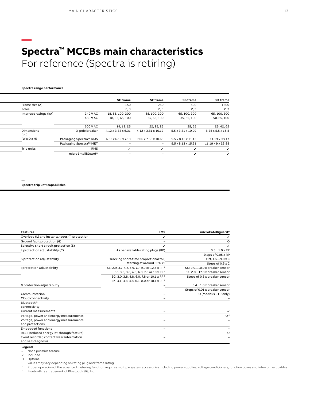### **— Spectra™ MCCBs main characteristics** For reference (Spectra is retiring)

**Spectra range performance**

**—**

| <b>SE frame</b><br><b>SG frame</b><br><b>SF frame</b>                                                                                        | <b>SK</b> frame            |  |
|----------------------------------------------------------------------------------------------------------------------------------------------|----------------------------|--|
| Frame size (A)<br>600<br>150<br>250                                                                                                          |                            |  |
| Poles<br>2, 3<br>2, 3<br>2, 3                                                                                                                |                            |  |
| Interrupt ratings (kA)<br>18, 65, 100, 200<br>65, 100, 200<br>65, 100, 200<br>240 V AC                                                       | 65, 100, 200               |  |
| 35, 65, 100<br>480 V AC<br>18, 25, 65, 100<br>35, 65, 100                                                                                    | 50, 65, 100                |  |
| 600 V AC<br>25,65<br>14, 18, 25<br>22, 25, 25                                                                                                | 25, 42, 65                 |  |
| Dimensions<br>$4.12 \times 3.38 \times 6.31$<br>3-pole breaker<br>$4.12 \times 3.81 \times 10.12$<br>$5.5 \times 3.81 \times 10.09$<br>(in.) | 8.25 x 5.5 x 15.5          |  |
| $(W \times D \times H)$<br>Packaging Spectra™ RMS<br>$6.63 \times 6.19 \times 7.13$<br>7.06 x 7.38 x 10.63<br>$9.5 \times 8.13 \times 11.13$ | $11.19 \times 9 \times 17$ |  |
| Packaging Spectra™ MET<br>$9.5 \times 8.13 \times 15.31$<br>$\sim$<br>$\overline{\phantom{0}}$                                               | 11.19 x 9 x 23.88          |  |
| Trip units<br>RMS                                                                                                                            |                            |  |
| microEntelliGuard®<br>$\overline{\phantom{a}}$                                                                                               |                            |  |

**—**

**Spectra trip unit capabilities**

| microEntelliguard®             | <b>RMS</b>                                            | <b>Features</b>                               |
|--------------------------------|-------------------------------------------------------|-----------------------------------------------|
|                                |                                                       | Overload (L) and Instantaneous (I) protection |
|                                |                                                       | Ground fault protection (G)                   |
|                                |                                                       | Selective short circuit protection (S)        |
| $0.51.0 \times RP$             | As per available rating plugs (RP)                    | L protection adjustability (C)                |
| Steps of 0.05 x RP             |                                                       |                                               |
| Off, $1.59.0 \times C$         | Tracking short-time proportional to I,                | S protection adjustability                    |
| Steps of 0.5 x C               | starting at around 60% x l                            |                                               |
| SG: 2.010.0 x breaker sensor   | SE: 2.9, 3.7, 4.7, 5.9, 7.7, 9.9 or 12.5 x RP 1       | I protection adjustability                    |
| SK: 2.017.0 x breaker sensor   | SF: 3.0, 3.8, 4.8, 6.0, 7.8 or 10 x RP <sup>1</sup>   |                                               |
| Steps of 0.5 x breaker sensor  | SG: 3.0, 3.8, 4.8, 6.0, 7.8 or 10.1 x RP <sup>1</sup> |                                               |
|                                | SK: 3.1, 3.8, 4.8, 6.1, 8.0 or 10.1 x RP <sup>1</sup> |                                               |
| 0.41.0 x breaker sensor        | $\sim$                                                | G protection adjustability                    |
| Steps of 0.01 x breaker sensor |                                                       |                                               |
| O (Modbus RTU only)            | $\sim$                                                | Communication                                 |
|                                | $\sim$                                                | Cloud connectivity                            |
|                                | $\sim$                                                | Bluetooth <sup>3</sup>                        |
|                                |                                                       | connectivity                                  |
|                                | $\sim$                                                | Current measurements                          |
|                                | $\sim$                                                | Voltage, power and energy measurements        |
|                                | $\sim$                                                | Voltage, power and energy measurements        |
|                                |                                                       | and protections                               |
|                                | $\sim$                                                | <b>Embedded functions</b>                     |
|                                | $\sim$                                                | RELT (reduced energy let-through feature)     |
|                                |                                                       | Event recorder, contact wear information      |
|                                |                                                       | and self-diagnosis                            |

#### **Legend**

– Not a possible feature

Included

O Optional

<sup>1</sup> Values may vary depending on rating plug and frame rating<br><sup>2</sup> Proper operation of the advanced metering function requires multiple system accessories including power supplies, voltage conditioners, junction boxes and i

Bluetooth is a trademark of Bluetooth SIG, Inc.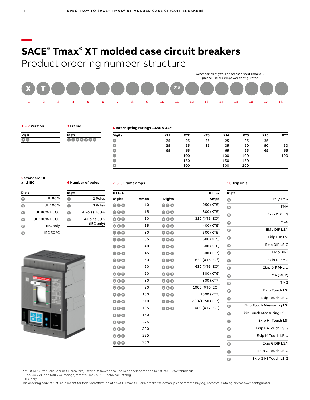### **SACE® Tmax® XT molded case circuit breakers**

Product ordering number structure



#### **1 & 2 Version**

**Digit X T**

**3 Frame**

**6 Number of poles**

**<sup>2</sup>** 2 Poles **<sup>3</sup>** 3 Poles **<sup>4</sup>** 4 Poles 100% **<sup>N</sup>** 4 Poles 50%

(IEC only)

**Digit**

| Digit |  |
|-------|--|
| F.    |  |
|       |  |

#### **4 Interrupting ratings – 480 V AC\***

| <b>Digits</b> | XT1 | XT <sub>2</sub> | XT <sub>3</sub> | XT4 | XT <sub>5</sub> | XT <sub>6</sub> | XT7 |
|---------------|-----|-----------------|-----------------|-----|-----------------|-----------------|-----|
| $\bullet$     | 25  | 25              | 25              | 25  | 35              | 35              |     |
| $\bullet$     | 35  | 35              | 35              | 35  | 50              | 50              | 50  |
| $\bullet$     | 65  | 65              | $\qquad \qquad$ | 65  | 65              | 65              | 65  |
| $\bullet$     | -   | 100             |                 | 100 | 100             | -               | 100 |
| $\bullet$     | -   | 150             | $\qquad \qquad$ | 150 | 150             | -               |     |
| $\bullet$     |     | 200             |                 | 200 | 200             |                 | -   |

#### **5 Standard UL and IEC**

| Digit |                 |
|-------|-----------------|
|       | UL 80%          |
| O)    | UL 100%         |
| c     | UL 80% + CCC    |
| D     | UL 100% + CCC   |
| Ε     | <b>IEC</b> only |
| G     | IEC 50 °C       |



#### **7, 8, 9 Frame amps**

| $XT5-7$                      |                         |      | $XT1-4$                       |
|------------------------------|-------------------------|------|-------------------------------|
| Amps                         | <b>Digits</b>           | Amps | <b>Digits</b>                 |
| 250 (XT5)                    | <b>260</b>              | 10   | $\bullet\bullet\bullet$       |
| 300 (XT5)                    | 80A                     | 15   | 006                           |
| 320 (XT5 IEC <sup>1</sup> )  | 88A                     | 20   | $\bullet\bullet\bullet$       |
| 400 (XT5)                    | 40A                     | 25   | 006                           |
| 500 (XT5)                    | 60 <b>0</b>             | 30   | $\bullet\bullet\bullet$       |
| 600 (XT5)                    | 60B                     | 35   | 086                           |
| 600 (XT6)                    | 600                     | 40   | $\odot$ 4 $\odot$             |
| 600 (XT7)                    | 60G                     | 45   | 046                           |
| 630 (XT5 IEC <sup>1</sup> )  | 688                     | 50   | 060                           |
| 630 (XT6 IEC <sup>1</sup> )  | 680                     | 60   | $\bullet\bullet\bullet$       |
| 800 (XT6)                    | $\bullet\bullet\bullet$ | 70   | $\bullet$ $\bullet$ $\bullet$ |
| 800 (XT7)                    | $\bullet\bullet\bullet$ | 80   | $\bullet\bullet\bullet$       |
| 1000 (XT6 IEC <sup>1</sup> ) | 000                     | 90   | $\bullet\bullet\bullet$       |
| 1000 (XT7)                   | $\bullet\bullet\bullet$ | 100  | $\bullet\bullet\bullet$       |
| 1200/1250 (XT7)              | 000                     | 110  | 000                           |
| 1600 (XT7 IEC <sup>1</sup> ) | 000                     | 125  | 006                           |
|                              |                         | 150  | 060                           |
|                              |                         | 175  | 006                           |
|                              |                         | 200  | 200                           |
|                              |                         | 225  | 006                           |
|                              |                         | 250  | <b>260</b>                    |

#### **10 Trip unit**

| Digit            |                                  |
|------------------|----------------------------------|
| $\bullet$        | TMF/TMD                          |
| $\bullet$        | <b>TMA</b>                       |
| $\bullet$        | Ekip DIP LIG                     |
| $\mathbf \Theta$ | <b>MCS</b>                       |
| $\bullet$        | Ekip DIP LS/I                    |
| ●                | Ekip DIP LSI                     |
| $\bullet$        | Ekip DIP LSIG                    |
| $\bullet$        | Ekip DIP I                       |
| G                | Ekip DIP M-I                     |
| $\bullet$        | Ekip DIP M-LIU                   |
| $\bullet$        | MA (MCP)                         |
| $\bullet$        | <b>TMG</b>                       |
| $\bullet$        | Ekip Touch LSI                   |
| $\bm{\odot}$     | Ekip Touch LSIG                  |
| O                | <b>Ekip Touch Measuring LSI</b>  |
| ◉                | <b>Ekip Touch Measuring LSIG</b> |
| $\bullet$        | Ekip Hi-Touch LSI                |
| $\mathbf \Phi$   | Ekip Hi-Touch LSIG               |
| $\bf \Phi$       | Ekip M Touch LRIU                |
| Ø                | Ekip G DIP LS/I                  |
| $\bullet$        | Ekip G Touch LSIG                |
| $\bullet$        | Ekip G Hi-Touch LSIG             |

\*\* Must be "Y" for ReliaGear neXT breakers, used in ReliaGear neXT power panelboards and ReliaGear SB switchboards.

\* For 240 V AC and 600 V AC ratings, refer to Tmax XT UL Technical Catalog.

<sup>1</sup> IEC only.

This ordering code structure is meant for field identification of a SACE Tmax XT. For a breaker selection, please refer to Buylog, Technical Catalog or empower configurator.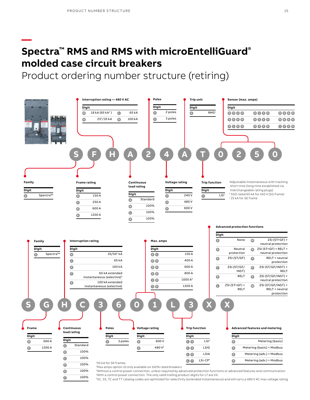**—**

### **Spectra™ RMS and RMS with microEntelliGuard® molded case circuit breakers**

Product ordering number structure (retiring)



5SC, SS, TC and TT catalog codes are optimized for selectivity (extended instantaneous) and will carry a 480 V AC max voltage rating